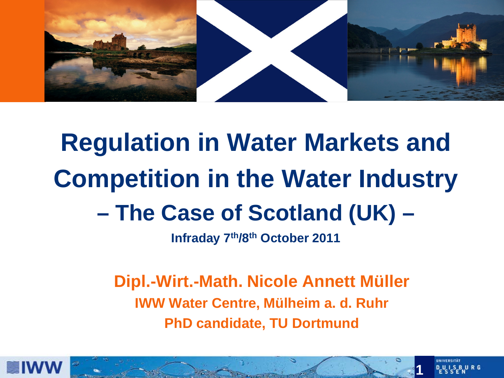

# **Regulation in Water Markets and Competition in the Water Industry – The Case of Scotland (UK) –**

**Infraday 7th/8th October 2011**

**Dipl.-Wirt.-Math. Nicole Annett Müller IWW Water Centre, Mülheim a. d. Ruhr PhD candidate, TU Dortmund**



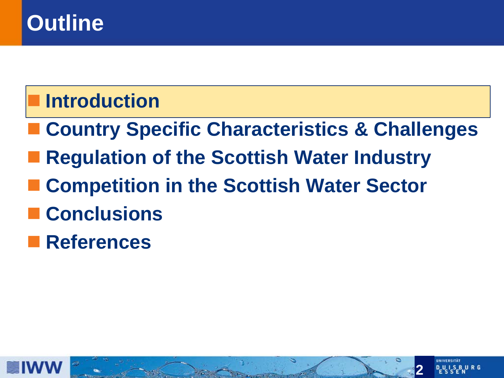### **Outline**

#### **Introduction**

- **Country Specific Characteristics & Challenges**
- **Regulation of the Scottish Water Industry**
- **Competition in the Scottish Water Sector**
- **Conclusions**
- **References**



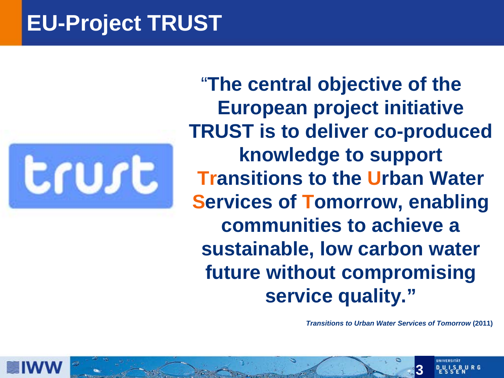#### **EU-Project TRUST**



"**The central objective of the European project initiative TRUST is to deliver co-produced knowledge to support Transitions to the Urban Water Services of Tomorrow, enabling communities to achieve a sustainable, low carbon water future without compromising service quality."**

*Transitions to Urban Water Services of Tomorrow* **(2011)**



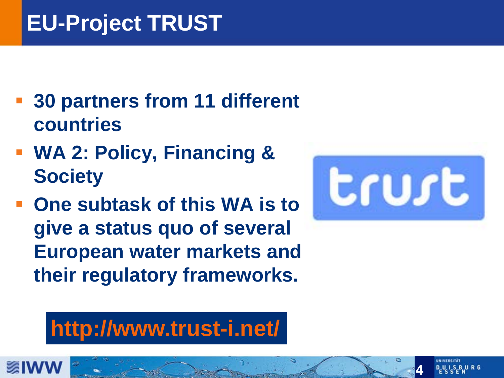# **EU-Project TRUST**

- **30 partners from 11 different countries**
- **WA 2: Policy, Financing & Society**
- **One subtask of this WA is to give a status quo of several European water markets and their regulatory frameworks.**



# **http://www.trust-i.net/**

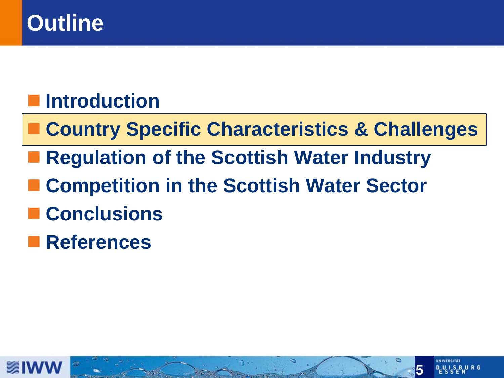#### **Outline**

#### **Introduction**

- **Country Specific Characteristics & Challenges**
- Regulation of the Scottish Water Industry
- **Competition in the Scottish Water Sector**
- **Conclusions**
- **References**



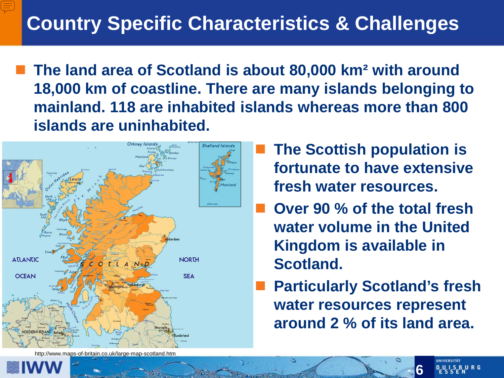**The land area of Scotland is about 80,000 km² with around 18,000 km of coastline. There are many islands belonging to mainland. 118 are inhabited islands whereas more than 800 islands are uninhabited.** 



http://www.maps-of-britain.co.uk/large-map-scotland.htm

- **The Scottish population is fortunate to have extensive fresh water resources.**
- **Over 90 % of the total fresh water volume in the United Kingdom is available in Scotland.**
- **Particularly Scotland's fresh water resources represent around 2 % of its land area.**

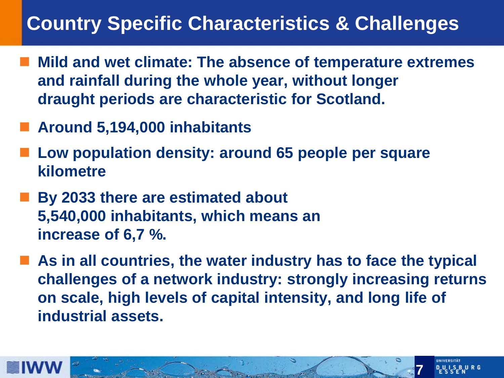#### **Country Specific Characteristics & Challenges**

- **Mild and wet climate: The absence of temperature extremes and rainfall during the whole year, without longer draught periods are characteristic for Scotland.**
- **Around 5,194,000 inhabitants**
- **Low population density: around 65 people per square kilometre**
- By 2033 there are estimated about **5,540,000 inhabitants, which means an increase of 6,7 %.**
- As in all countries, the water industry has to face the typical **challenges of a network industry: strongly increasing returns on scale, high levels of capital intensity, and long life of industrial assets.**



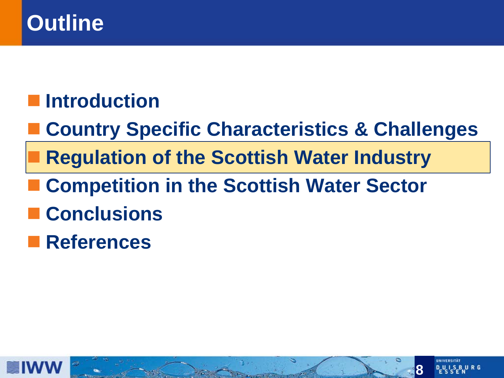#### **Outline**

#### **Introduction**

- **Country Specific Characteristics & Challenges**
- **Regulation of the Scottish Water Industry**
- **Competition in the Scottish Water Sector**
- **Conclusions**
- **References**



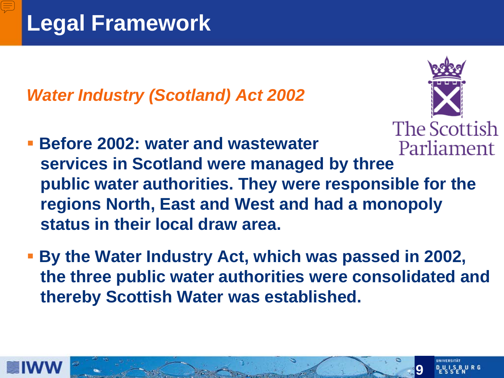*Water Industry (Scotland) Act 2002*



- **Before 2002: water and wastewater services in Scotland were managed by three public water authorities. They were responsible for the regions North, East and West and had a monopoly status in their local draw area.**
- **By the Water Industry Act, which was passed in 2002, the three public water authorities were consolidated and thereby Scottish Water was established.**



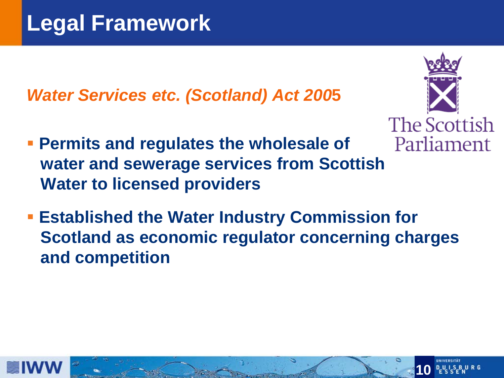*Water Services etc. (Scotland) Act 200***5**



- **Permits and regulates the wholesale of water and sewerage services from Scottish Water to licensed providers**
- **Established the Water Industry Commission for Scotland as economic regulator concerning charges and competition**



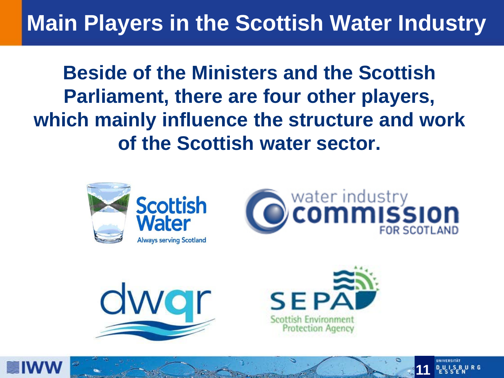# **Main Players in the Scottish Water Industry**

**Beside of the Ministers and the Scottish Parliament, there are four other players, which mainly influence the structure and work of the Scottish water sector.**









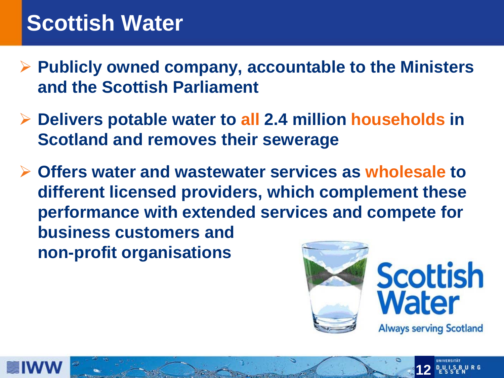#### **Scottish Water**

- **Publicly owned company, accountable to the Ministers and the Scottish Parliament**
- **Delivers potable water to all 2.4 million households in Scotland and removes their sewerage**
- **Offers water and wastewater services as wholesale to different licensed providers, which complement these performance with extended services and compete for business customers and non-profit organisations**



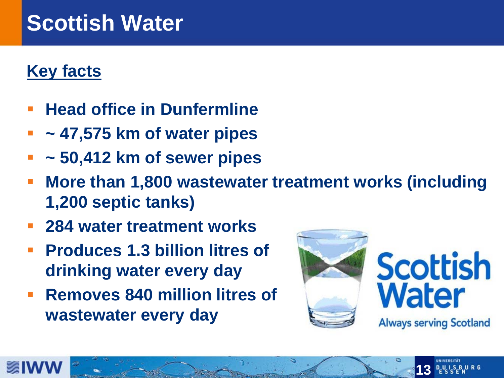#### **Scottish Water**

#### **Key facts**

- **Head office in Dunfermline**
- **~ 47,575 km of water pipes**
- **~ 50,412 km of sewer pipes**
- **More than 1,800 wastewater treatment works (including 1,200 septic tanks)**
- **284 water treatment works**
- **Produces 1.3 billion litres of drinking water every day**
- **Removes 840 million litres of wastewater every day**





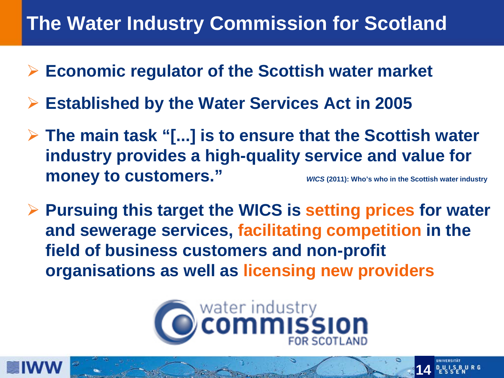#### **The Water Industry Commission for Scotland**

- **Economic regulator of the Scottish water market**
- **Established by the Water Services Act in 2005**
- **The main task "[...] is to ensure that the Scottish water industry provides a high-quality service and value for money to customers."** *WICS (2011): Who's who in the Scottish water industry*
- **Pursuing this target the WICS is setting prices for water and sewerage services, facilitating competition in the field of business customers and non-profit organisations as well as licensing new providers**



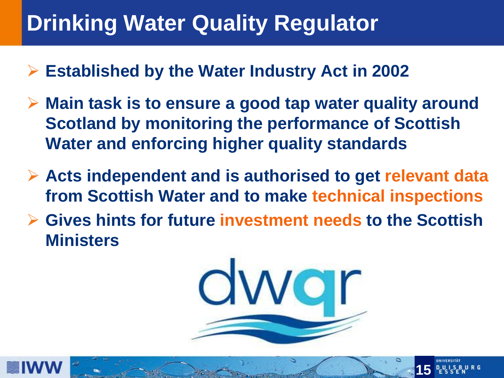# **Drinking Water Quality Regulator**

- **Established by the Water Industry Act in 2002**
- **Main task is to ensure a good tap water quality around Scotland by monitoring the performance of Scottish Water and enforcing higher quality standards**
- **Acts independent and is authorised to get relevant data from Scottish Water and to make technical inspections**
- **Gives hints for future investment needs to the Scottish Ministers**





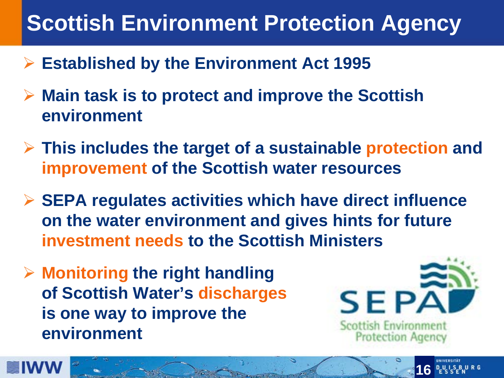# **Scottish Environment Protection Agency**

- **Established by the Environment Act 1995**
- **Main task is to protect and improve the Scottish environment**
- **This includes the target of a sustainable protection and improvement of the Scottish water resources**
- **SEPA regulates activities which have direct influence on the water environment and gives hints for future investment needs to the Scottish Ministers**
- **Monitoring the right handling of Scottish Water's discharges is one way to improve the environment**



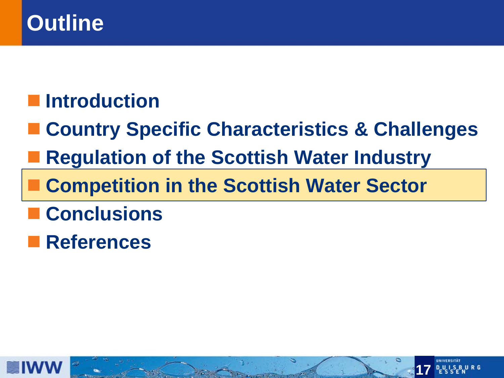#### **Outline**

#### **Introduction**

- **Country Specific Characteristics & Challenges**
- **Regulation of the Scottish Water Industry**
- **Competition in the Scottish Water Sector**
- **Conclusions**
- **References**



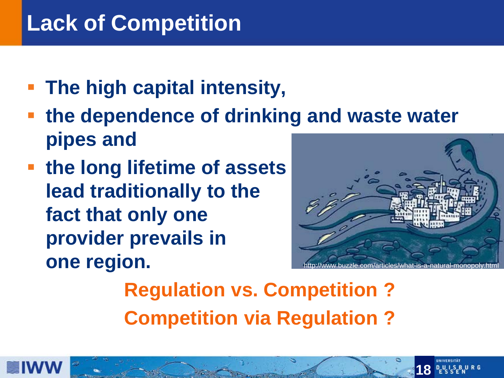## **Lack of Competition**

- **The high capital intensity,**
- **the dependence of drinking and waste water pipes and**
- **the long lifetime of assets lead traditionally to the fact that only one provider prevails in one region.**



**Regulation vs. Competition ? Competition via Regulation ?**



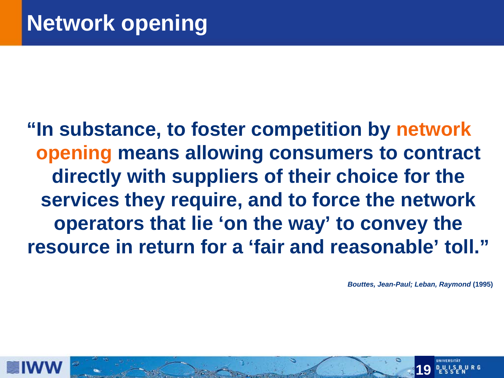**"In substance, to foster competition by network opening means allowing consumers to contract directly with suppliers of their choice for the services they require, and to force the network operators that lie 'on the way' to convey the resource in return for a 'fair and reasonable' toll."** 

*Bouttes, Jean-Paul; Leban, Raymond* **(1995)**



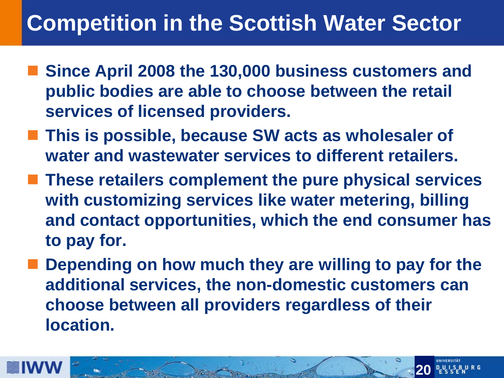#### **Competition in the Scottish Water Sector**

- **Since April 2008 the 130,000 business customers and public bodies are able to choose between the retail services of licensed providers.**
- **This is possible, because SW acts as wholesaler of water and wastewater services to different retailers.**
- **These retailers complement the pure physical services with customizing services like water metering, billing and contact opportunities, which the end consumer has to pay for.**
- **Depending on how much they are willing to pay for the additional services, the non-domestic customers can choose between all providers regardless of their location.**



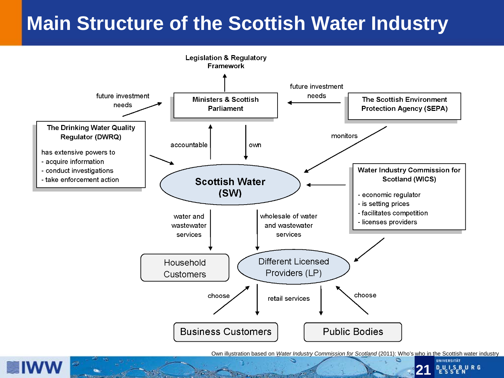#### **Main Structure of the Scottish Water Industry**



Own illustration based on *Water Industry Commission for Scotland* (2011): Who's who in the Scottish water industry



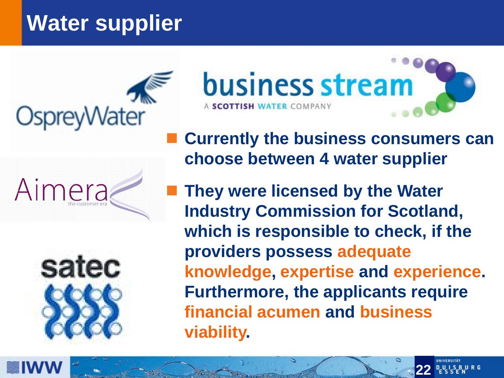# **Water supplier**



OspreyWater





 **Currently the business consumers can choose between 4 water supplier**

 **They were licensed by the Water Industry Commission for Scotland, which is responsible to check, if the providers possess adequate knowledge, expertise and experience. Furthermore, the applicants require financial acumen and business viability.**



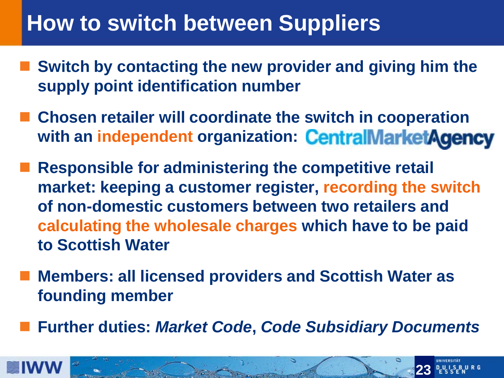#### **How to switch between Suppliers**

- **Switch by contacting the new provider and giving him the supply point identification number**
- **Chosen retailer will coordinate the switch in cooperation with an independent organization: CentralMarketAgency**
- **Responsible for administering the competitive retail market: keeping a customer register, recording the switch of non-domestic customers between two retailers and calculating the wholesale charges which have to be paid to Scottish Water**
- **Members: all licensed providers and Scottish Water as founding member**
- **Further duties:** *Market Code***,** *Code Subsidiary Documents*



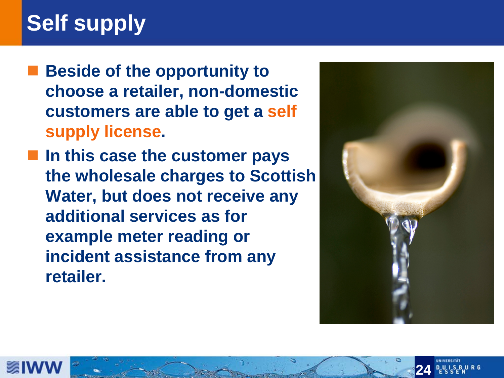# **Self supply**

- **Beside of the opportunity to choose a retailer, non-domestic customers are able to get a self supply license.**
- **In this case the customer pays the wholesale charges to Scottish Water, but does not receive any additional services as for example meter reading or incident assistance from any retailer.**





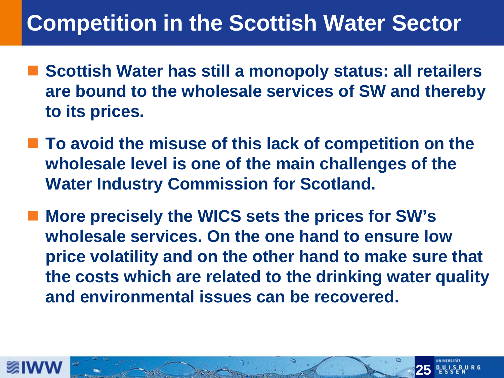#### **Competition in the Scottish Water Sector**

- **Scottish Water has still a monopoly status: all retailers are bound to the wholesale services of SW and thereby to its prices.**
- **To avoid the misuse of this lack of competition on the wholesale level is one of the main challenges of the Water Industry Commission for Scotland.**
- **More precisely the WICS sets the prices for SW's wholesale services. On the one hand to ensure low price volatility and on the other hand to make sure that the costs which are related to the drinking water quality and environmental issues can be recovered.**



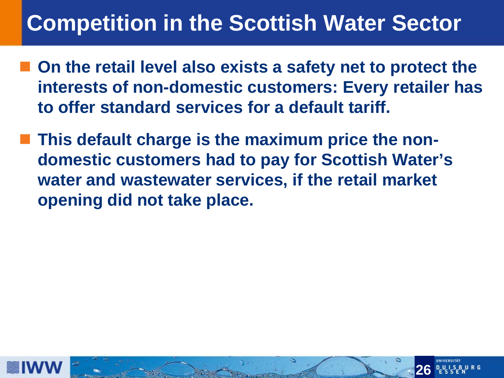#### **Competition in the Scottish Water Sector**

- **On the retail level also exists a safety net to protect the interests of non-domestic customers: Every retailer has to offer standard services for a default tariff.**
- **This default charge is the maximum price the nondomestic customers had to pay for Scottish Water's water and wastewater services, if the retail market opening did not take place.**



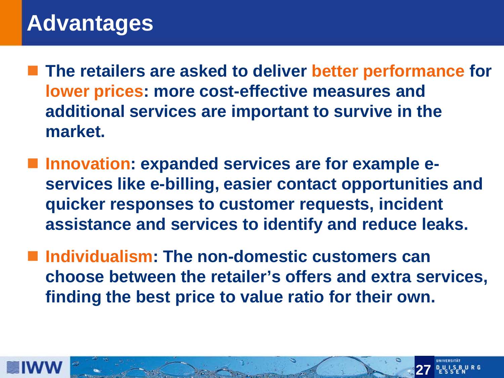#### **Advantages**

- **The retailers are asked to deliver better performance for lower prices: more cost-effective measures and additional services are important to survive in the market.**
- **Innovation: expanded services are for example eservices like e-billing, easier contact opportunities and quicker responses to customer requests, incident assistance and services to identify and reduce leaks.**
- **Individualism: The non-domestic customers can choose between the retailer's offers and extra services, finding the best price to value ratio for their own.**



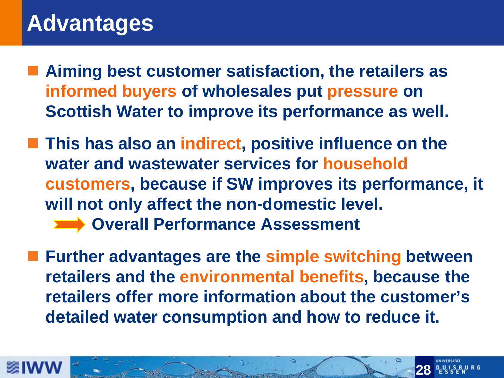#### **Advantages**

- Aiming best customer satisfaction, the retailers as **informed buyers of wholesales put pressure on Scottish Water to improve its performance as well.**
- **This has also an indirect, positive influence on the water and wastewater services for household customers, because if SW improves its performance, it will not only affect the non-domestic level. Overall Performance Assessment**
- **Further advantages are the simple switching between retailers and the environmental benefits, because the retailers offer more information about the customer's detailed water consumption and how to reduce it.**



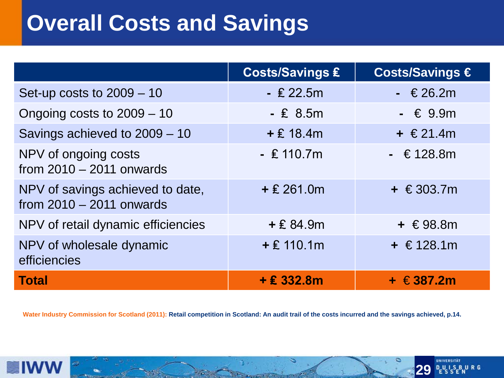#### **Overall Costs and Savings**

|                                                                | <b>Costs/Savings £</b> | Costs/Savings €  |
|----------------------------------------------------------------|------------------------|------------------|
| Set-up costs to $2009 - 10$                                    | $-$ £ 22.5m            | $ \in$ 26.2m     |
| Ongoing costs to $2009 - 10$                                   | $- E 8.5m$             | $- 6.9m$         |
| Savings achieved to 2009 - 10                                  | $+$ £ 18.4m            | $+$ €21.4m       |
| NPV of ongoing costs<br>from $2010 - 2011$ onwards             | $-$ £ 110.7m           | $-$ € 128.8m     |
| NPV of savings achieved to date,<br>from $2010 - 2011$ onwards | $+$ £ 261.0m           | + $€303.7m$      |
| NPV of retail dynamic efficiencies                             | $+ E 84.9m$            | + $€98.8m$       |
| NPV of wholesale dynamic<br>efficiencies                       | $+$ £ 110.1m           | + €128.1m        |
| <b>Total</b>                                                   | $+£332.8m$             | $+$ $\in$ 387.2m |

**Water Industry Commission for Scotland (2011): Retail competition in Scotland: An audit trail of the costs incurred and the savings achieved, p.14.**

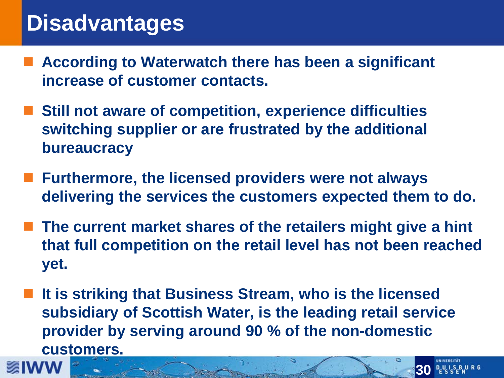#### **Disadvantages**

- **According to Waterwatch there has been a significant increase of customer contacts.**
- Still not aware of competition, experience difficulties **switching supplier or are frustrated by the additional bureaucracy**
- **Furthermore, the licensed providers were not always delivering the services the customers expected them to do.**
- **The current market shares of the retailers might give a hint that full competition on the retail level has not been reached yet.**
- **It is striking that Business Stream, who is the licensed subsidiary of Scottish Water, is the leading retail service provider by serving around 90 % of the non-domestic customers.**

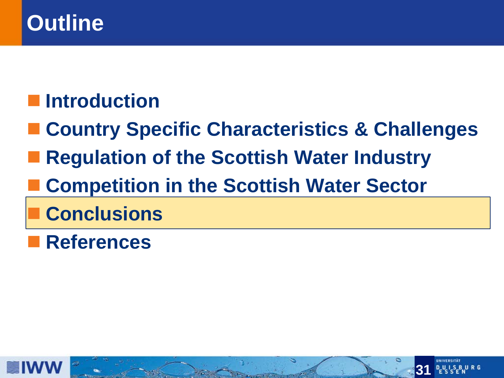#### **Outline**

#### **Introduction**

- **Country Specific Characteristics & Challenges**
- **Regulation of the Scottish Water Industry**
- **Competition in the Scottish Water Sector**
- **Conclusions**
- **References**



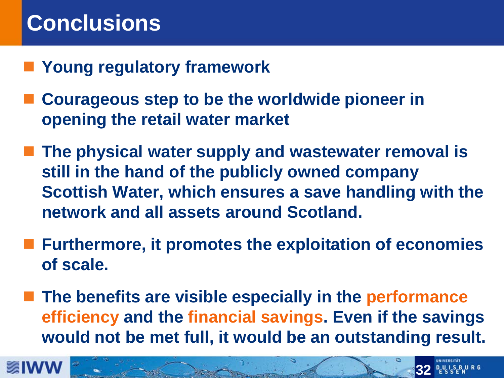#### **Conclusions**

- **Young regulatory framework**
- **Courageous step to be the worldwide pioneer in opening the retail water market**
- **The physical water supply and wastewater removal is still in the hand of the publicly owned company Scottish Water, which ensures a save handling with the network and all assets around Scotland.**
- **Furthermore, it promotes the exploitation of economies of scale.**
- **The benefits are visible especially in the performance efficiency and the financial savings. Even if the savings would not be met full, it would be an outstanding result.**



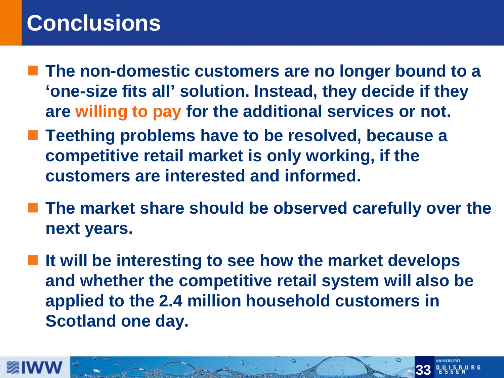#### **Conclusions**

- **The non-domestic customers are no longer bound to a 'one-size fits all' solution. Instead, they decide if they are willing to pay for the additional services or not.**
- **Teething problems have to be resolved, because a competitive retail market is only working, if the customers are interested and informed.**
- The market share should be observed carefully over the **next years.**
- It will be interesting to see how the market develops **and whether the competitive retail system will also be applied to the 2.4 million household customers in Scotland one day.**



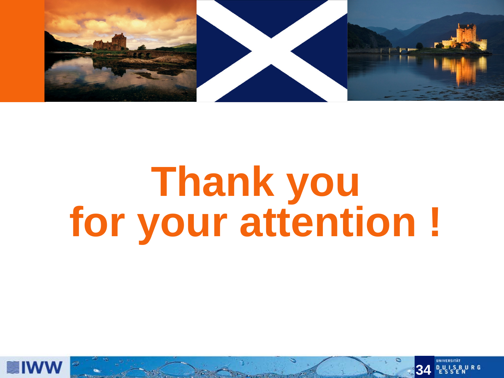

# **Thank you for your attention !**



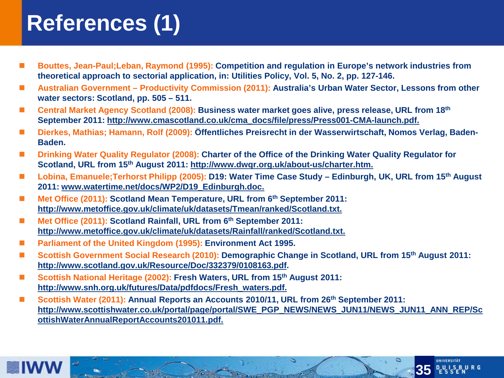# **References (1)**

- **Bouttes, Jean-Paul;Leban, Raymond (1995): Competition and regulation in Europe's network industries from theoretical approach to sectorial application, in: Utilities Policy, Vol. 5, No. 2, pp. 127-146.**
- Australian Government Productivity Commission (2011): Australia's Urban Water Sector, Lessons from other **water sectors: Scotland, pp. 505 – 511.**
- Central Market Agency Scotland (2008): Business water market goes alive, press release, URL from 18<sup>th</sup> **September 2011: http://www.cmascotland.co.uk/cma\_docs/file/press/Press001-CMA-launch.pdf.**
- **Dierkes. Mathias: Hamann, Rolf (2009): Öffentliches Preisrecht in der Wasserwirtschaft, Nomos Verlag, Baden-Baden.**
- Drinking Water Quality Regulator (2008): Charter of the Office of the Drinking Water Quality Regulator for **Scotland, URL from 15th August 2011: http://www.dwqr.org.uk/about-us/charter.htm.**
- Lobina, Emanuele;Terhorst Philipp (2005): D19: Water Time Case Study Edinburgh, UK, URL from 15<sup>th</sup> August **2011: www.watertime.net/docs/WP2/D19\_Edinburgh.doc.**
- Met Office (2011): Scotland Mean Temperature, URL from 6<sup>th</sup> September 2011: **http://www.metoffice.gov.uk/climate/uk/datasets/Tmean/ranked/Scotland.txt.**
- Met Office (2011): Scotland Rainfall, URL from 6<sup>th</sup> September 2011: **http://www.metoffice.gov.uk/climate/uk/datasets/Rainfall/ranked/Scotland.txt.**
- **Parliament of the United Kingdom (1995): Environment Act 1995.**
- Scottish Government Social Research (2010): Demographic Change in Scotland, URL from 15<sup>th</sup> August 2011: **http://www.scotland.gov.uk/Resource/Doc/332379/0108163.pdf.**
- Scottish National Heritage (2002): Fresh Waters, URL from 15<sup>th</sup> August 2011: **http://www.snh.org.uk/futures/Data/pdfdocs/Fresh\_waters.pdf.**
- Scottish Water (2011): Annual Reports an Accounts 2010/11, URL from 26<sup>th</sup> September 2011: **http://www.scottishwater.co.uk/portal/page/portal/SWE\_PGP\_NEWS/NEWS\_JUN11/NEWS\_JUN11\_ANN\_REP/Sc ottishWaterAnnualReportAccounts201011.pdf.**